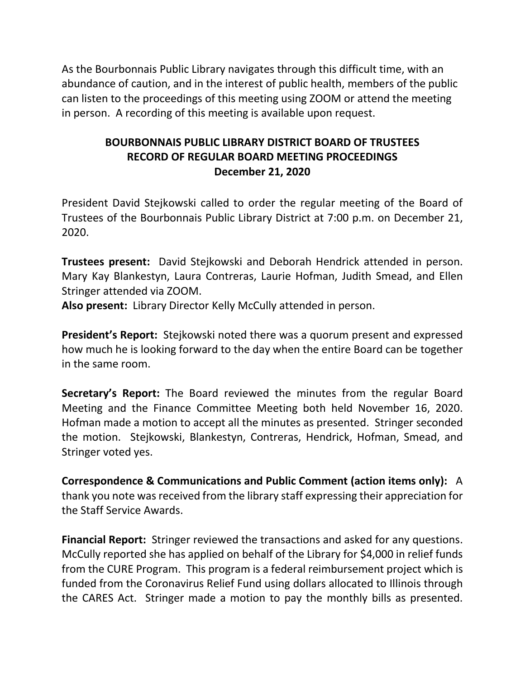As the Bourbonnais Public Library navigates through this difficult time, with an abundance of caution, and in the interest of public health, members of the public can listen to the proceedings of this meeting using ZOOM or attend the meeting in person. A recording of this meeting is available upon request.

# **BOURBONNAIS PUBLIC LIBRARY DISTRICT BOARD OF TRUSTEES RECORD OF REGULAR BOARD MEETING PROCEEDINGS December 21, 2020**

President David Stejkowski called to order the regular meeting of the Board of Trustees of the Bourbonnais Public Library District at 7:00 p.m. on December 21, 2020.

**Trustees present:** David Stejkowski and Deborah Hendrick attended in person. Mary Kay Blankestyn, Laura Contreras, Laurie Hofman, Judith Smead, and Ellen Stringer attended via ZOOM.

**Also present:** Library Director Kelly McCully attended in person.

**President's Report:** Stejkowski noted there was a quorum present and expressed how much he is looking forward to the day when the entire Board can be together in the same room.

**Secretary's Report:** The Board reviewed the minutes from the regular Board Meeting and the Finance Committee Meeting both held November 16, 2020. Hofman made a motion to accept all the minutes as presented. Stringer seconded the motion. Stejkowski, Blankestyn, Contreras, Hendrick, Hofman, Smead, and Stringer voted yes.

**Correspondence & Communications and Public Comment (action items only):** A thank you note was received from the library staff expressing their appreciation for the Staff Service Awards.

**Financial Report:** Stringer reviewed the transactions and asked for any questions. McCully reported she has applied on behalf of the Library for \$4,000 in relief funds from the CURE Program. This program is a federal reimbursement project which is funded from the Coronavirus Relief Fund using dollars allocated to Illinois through the CARES Act. Stringer made a motion to pay the monthly bills as presented.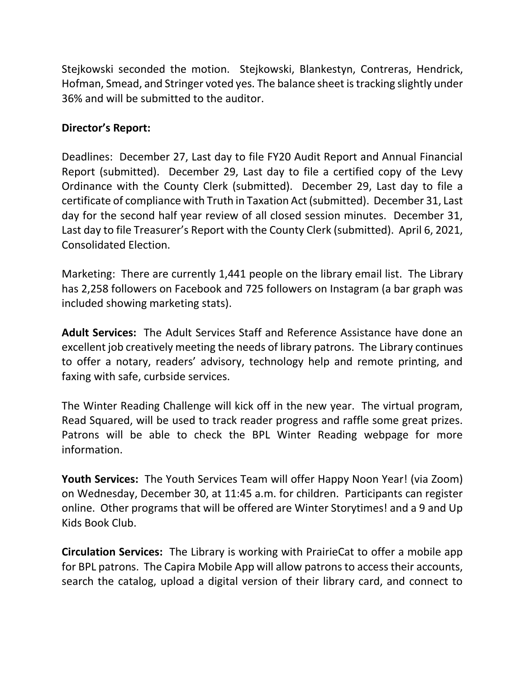Stejkowski seconded the motion. Stejkowski, Blankestyn, Contreras, Hendrick, Hofman, Smead, and Stringer voted yes. The balance sheet is tracking slightly under 36% and will be submitted to the auditor.

## **Director's Report:**

Deadlines: December 27, Last day to file FY20 Audit Report and Annual Financial Report (submitted). December 29, Last day to file a certified copy of the Levy Ordinance with the County Clerk (submitted). December 29, Last day to file a certificate of compliance with Truth in Taxation Act (submitted). December 31, Last day for the second half year review of all closed session minutes. December 31, Last day to file Treasurer's Report with the County Clerk (submitted). April 6, 2021, Consolidated Election.

Marketing: There are currently 1,441 people on the library email list. The Library has 2,258 followers on Facebook and 725 followers on Instagram (a bar graph was included showing marketing stats).

**Adult Services:** The Adult Services Staff and Reference Assistance have done an excellent job creatively meeting the needs of library patrons. The Library continues to offer a notary, readers' advisory, technology help and remote printing, and faxing with safe, curbside services.

The Winter Reading Challenge will kick off in the new year. The virtual program, Read Squared, will be used to track reader progress and raffle some great prizes. Patrons will be able to check the BPL Winter Reading webpage for more information.

**Youth Services:** The Youth Services Team will offer Happy Noon Year! (via Zoom) on Wednesday, December 30, at 11:45 a.m. for children. Participants can register online. Other programs that will be offered are Winter Storytimes! and a 9 and Up Kids Book Club.

**Circulation Services:** The Library is working with PrairieCat to offer a mobile app for BPL patrons. The Capira Mobile App will allow patrons to access their accounts, search the catalog, upload a digital version of their library card, and connect to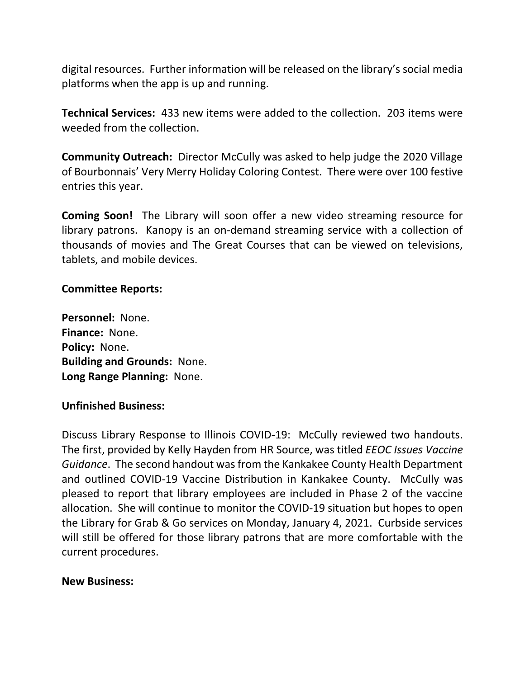digital resources. Further information will be released on the library's social media platforms when the app is up and running.

**Technical Services:** 433 new items were added to the collection. 203 items were weeded from the collection.

**Community Outreach:** Director McCully was asked to help judge the 2020 Village of Bourbonnais' Very Merry Holiday Coloring Contest. There were over 100 festive entries this year.

**Coming Soon!** The Library will soon offer a new video streaming resource for library patrons. Kanopy is an on-demand streaming service with a collection of thousands of movies and The Great Courses that can be viewed on televisions, tablets, and mobile devices.

### **Committee Reports:**

**Personnel:** None. **Finance:** None. **Policy:** None. **Building and Grounds:** None. **Long Range Planning:** None.

### **Unfinished Business:**

Discuss Library Response to Illinois COVID-19: McCully reviewed two handouts. The first, provided by Kelly Hayden from HR Source, was titled *EEOC Issues Vaccine Guidance*. The second handout was from the Kankakee County Health Department and outlined COVID-19 Vaccine Distribution in Kankakee County. McCully was pleased to report that library employees are included in Phase 2 of the vaccine allocation. She will continue to monitor the COVID-19 situation but hopes to open the Library for Grab & Go services on Monday, January 4, 2021. Curbside services will still be offered for those library patrons that are more comfortable with the current procedures.

#### **New Business:**